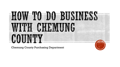

Chemung County Purchasing Department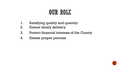## OUR ROLL

- 1. Satisfying quality and quantity
- 2. Ensure timely delivery
- 3. Protect financial interests of the County
- 4. Ensure proper process

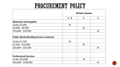# PROCUREMENT POLICY

|                                                | <b>Written Quotes</b> |                |                         |
|------------------------------------------------|-----------------------|----------------|-------------------------|
|                                                | $1 - 2$               | $\overline{2}$ | $\overline{\mathbf{3}}$ |
| <b>Materials And Supplies</b>                  |                       |                |                         |
| Under \$3,000                                  | X                     |                |                         |
| \$3,000 - \$9,999                              |                       | X              |                         |
| $$10,000 - $19,999$                            |                       |                | X                       |
| <b>Public Works/Building Service Contracts</b> |                       |                |                         |
| Under \$7,500                                  | X                     |                |                         |
| $ $7,500 - $19,999$                            |                       | X              |                         |
| \$20,000 - \$35,000                            |                       |                | X                       |
| <b>Professional Services</b>                   |                       |                |                         |
| Under \$20,000                                 |                       | X              |                         |
| $$20,000 - $100,000$                           |                       |                | X                       |

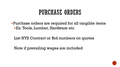#### PURCHASE ORDERS

Purchase orders are required for all tangible items Ex. Tools, Lumber, Hardware etc.

List NYS Contract or Bid numbers on quotes

Note if prevailing wages are included

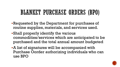# BLANKET PURCHASE ORDERS (BPO)

- Requested by the Department for purchases of routine supplies, materials, and services used.
- Shall properly identify the various commodities/services which are anticipated to be purchased and the total annual amount budgeted
- A list of signatures will be accompanied with Purchase Oorder authorizing individuals who can use BPO

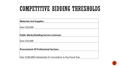## COMPETITIVE BIDDING THRESHOLDS

| <b>Materials And Supplies</b>                                |  |
|--------------------------------------------------------------|--|
| Over \$20,000                                                |  |
| <b>Public Works/Building Service Contracts</b>               |  |
| Over \$35,000                                                |  |
| <b>Procurement Of Professional Services</b>                  |  |
| Over \$100,000 Individually Or Cumulative In Any Fiscal Year |  |

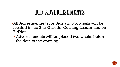#### BID ADVERTISEMENTS

- All Advertisements for Bids and Proposals will be located in the Star Gazette, Corning Leader and on BidNet.
	- Advertisements will be placed two weeks before the date of the opening.

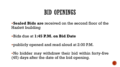#### **BID OPENINGS**

**Sealed Bids are** received on the second floor of the Hazlett building

- Bids due at **1:45 P.M. on Bid Date**
- publicly opened and read aloud at 2:00 P.M.

No bidder may withdraw their bid within forty-five (45) days after the date of the bid opening.

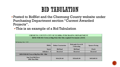#### BID TABULATION

- Posted to BidNet and the Chemung County website under Purchasing Department section "Current Awarded Projects".
	- This is an example of a Bid Tabulation

| <b>CHEMUNG COUNTY-CITY OF ELMIRA PURCHASING DEPARTMENT</b>     |                            |                                   |                       |  |  |
|----------------------------------------------------------------|----------------------------|-----------------------------------|-----------------------|--|--|
| RFB-TOB-002 Town of Big Flats Hot Mix Asphalt Pavements (2019) |                            |                                   |                       |  |  |
| Bid Opening May 7, 2019                                        |                            |                                   |                       |  |  |
| <b>Bidder</b>                                                  | <b>Bothar Construction</b> | Dalrymple Gravel &<br>Contracting | <b>Spencer Paving</b> |  |  |
| <b>Surety</b>                                                  | <b>Bid Bond</b>            | <b>Bid Bond</b>                   | <b>Check</b>          |  |  |
| Addenda 1 - 3                                                  | <b>Received</b>            | <b>Received</b>                   | <b>Received</b>       |  |  |
| RFB-TOB-002 Town of Big Flats PB1 - PB4                        |                            |                                   |                       |  |  |
| <b>Sum Total Bid Prices</b><br>(PB1 Thru PB4)                  | \$414,201.40               | \$326,401.00                      | \$433,069.10          |  |  |

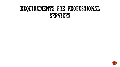## REQUIREMENTS FOR PROFESSIONAL SERVICES

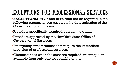# EXCEPTIONS FOR PROFESSIONAL SERVICES

- **EXCEPTIONS:** RFQs and RFPs shall not be required in the following circumstances based on the determination of the Coordinator of Purchasing:
- Providers specifically required pursuant to grants;
- Providers approved by the New York State Office of Governmental Services;
- Emergency circumstances that require the immediate provision of professional services;
- Circumstances when the services required are unique or available from only one responsible entity.

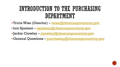# INTRODUCTION TO THE PURCHASING DEPARTMENT

- Tricia Wise (Director) [twise@chemungcountyny.gov](mailto:twise@chemungcountyny.gov)
- Lou Spaziani <u>Ispaziani@chemungcountyny.gov</u>
- Jackie Crowley [jcrowley@chemungcountyny.gov](mailto:jcrowley@chemungcountyny.gov)
- General Questions [purchasing@chemungcountyny.gov](mailto:purchasing@chemungcountyny.gov)